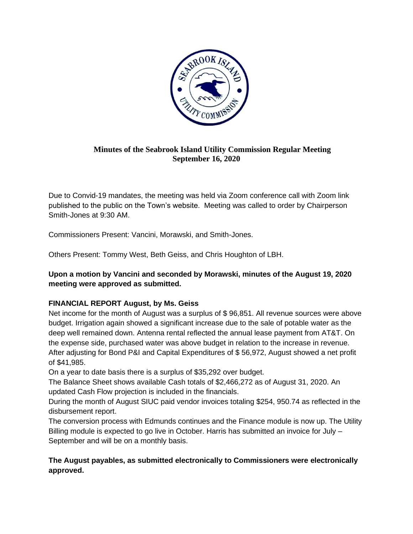

# **Minutes of the Seabrook Island Utility Commission Regular Meeting September 16, 2020**

Due to Convid-19 mandates, the meeting was held via Zoom conference call with Zoom link published to the public on the Town's website. Meeting was called to order by Chairperson Smith-Jones at 9:30 AM.

Commissioners Present: Vancini, Morawski, and Smith-Jones.

Others Present: Tommy West, Beth Geiss, and Chris Houghton of LBH.

## **Upon a motion by Vancini and seconded by Morawski, minutes of the August 19, 2020 meeting were approved as submitted.**

## **FINANCIAL REPORT August, by Ms. Geiss**

Net income for the month of August was a surplus of \$ 96,851. All revenue sources were above budget. Irrigation again showed a significant increase due to the sale of potable water as the deep well remained down. Antenna rental reflected the annual lease payment from AT&T. On the expense side, purchased water was above budget in relation to the increase in revenue. After adjusting for Bond P&I and Capital Expenditures of \$ 56,972, August showed a net profit of \$41,985.

On a year to date basis there is a surplus of \$35,292 over budget.

The Balance Sheet shows available Cash totals of \$2,466,272 as of August 31, 2020. An updated Cash Flow projection is included in the financials.

During the month of August SIUC paid vendor invoices totaling \$254, 950.74 as reflected in the disbursement report.

The conversion process with Edmunds continues and the Finance module is now up. The Utility Billing module is expected to go live in October. Harris has submitted an invoice for July – September and will be on a monthly basis.

## **The August payables, as submitted electronically to Commissioners were electronically approved.**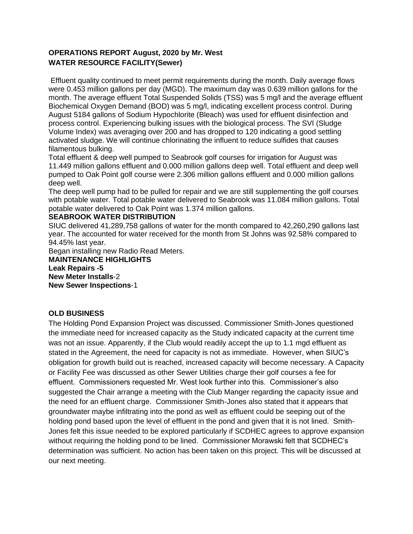## **OPERATIONS REPORT August, 2020 by Mr. West WATER RESOURCE FACILITY(Sewer)**

Effluent quality continued to meet permit requirements during the month. Daily average flows were 0.453 million gallons per day (MGD). The maximum day was 0.639 million gallons for the month. The average effluent Total Suspended Solids (TSS) was 5 mg/l and the average effluent Biochemical Oxygen Demand (BOD) was 5 mg/l, indicating excellent process control. During August 5184 gallons of Sodium Hypochlorite (Bleach) was used for effluent disinfection and process control. Experiencing bulking issues with the biological process. The SVI (Sludge Volume Index) was averaging over 200 and has dropped to 120 indicating a good settling activated sludge. We will continue chlorinating the influent to reduce sulfides that causes filamentous bulking.

Total effluent & deep well pumped to Seabrook golf courses for irrigation for August was 11.449 million gallons effluent and 0.000 million gallons deep well. Total effluent and deep well pumped to Oak Point golf course were 2.306 million gallons effluent and 0.000 million gallons deep well.

The deep well pump had to be pulled for repair and we are still supplementing the golf courses with potable water. Total potable water delivered to Seabrook was 11.084 million gallons. Total potable water delivered to Oak Point was 1.374 million gallons.

#### **SEABROOK WATER DISTRIBUTION**

SIUC delivered 41,289,758 gallons of water for the month compared to 42,260,290 gallons last year. The accounted for water received for the month from St Johns was 92.58% compared to 94.45% last year.

Began installing new Radio Read Meters.

**MAINTENANCE HIGHLIGHTS Leak Repairs -5 New Meter Installs**-2 **New Sewer Inspections**-1

#### **OLD BUSINESS**

The Holding Pond Expansion Project was discussed. Commissioner Smith-Jones questioned the immediate need for increased capacity as the Study indicated capacity at the current time was not an issue. Apparently, if the Club would readily accept the up to 1.1 mgd effluent as stated in the Agreement, the need for capacity is not as immediate. However, when SIUC's obligation for growth build out is reached, increased capacity will become necessary. A Capacity or Facility Fee was discussed as other Sewer Utilities charge their golf courses a fee for effluent. Commissioners requested Mr. West look further into this. Commissioner's also suggested the Chair arrange a meeting with the Club Manger regarding the capacity issue and the need for an effluent charge. Commissioner Smith-Jones also stated that it appears that groundwater maybe infiltrating into the pond as well as effluent could be seeping out of the holding pond based upon the level of effluent in the pond and given that it is not lined. Smith-Jones felt this issue needed to be explored particularly if SCDHEC agrees to approve expansion without requiring the holding pond to be lined. Commissioner Morawski felt that SCDHEC's determination was sufficient. No action has been taken on this project. This will be discussed at our next meeting.